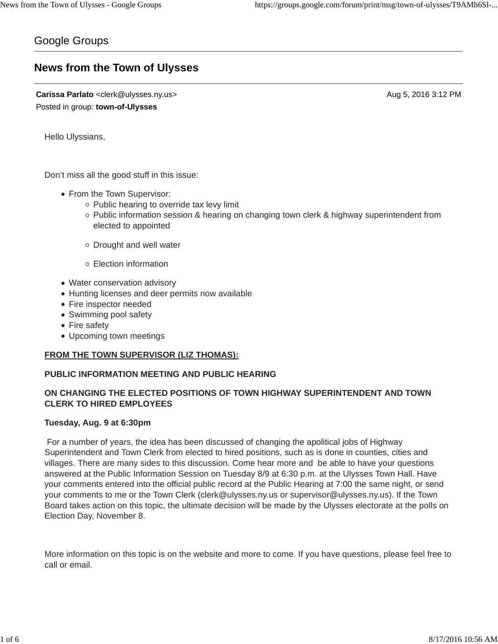# Google Groups

# **News from the Town of Ulysses**

**Carissa Parlato** <clerk@ulysses.ny.us> Aug 5, 2016 3:12 PM Posted in group: **town-of-Ulysses**

Hello Ulyssians,

Don't miss all the good stuff in this issue:

- From the Town Supervisor:
	- $\circ$  Public hearing to override tax levy limit
	- $\circ$  Public information session & hearing on changing town clerk & highway superintendent from elected to appointed
	- $\circ$  Drought and well water
	- Election information
- Water conservation advisory
- Hunting licenses and deer permits now available
- Fire inspector needed
- Swimming pool safety
- Fire safety
- Upcoming town meetings

## **FROM THE TOWN SUPERVISOR (LIZ THOMAS):**

## **PUBLIC INFORMATION MEETING AND PUBLIC HEARING**

## **ON CHANGING THE ELECTED POSITIONS OF TOWN HIGHWAY SUPERINTENDENT AND TOWN CLERK TO HIRED EMPLOYEES**

## **Tuesday, Aug. 9 at 6:30pm**

For a number of years, the idea has been discussed of changing the apolitical jobs of Highway Superintendent and Town Clerk from elected to hired positions, such as is done in counties, cities and villages. There are many sides to this discussion. Come hear more and be able to have your questions answered at the Public Information Session on Tuesday 8/9 at 6:30 p.m. at the Ulysses Town Hall. Have your comments entered into the official public record at the Public Hearing at 7:00 the same night, or send your comments to me or the Town Clerk (clerk@ulysses.ny.us or supervisor@ulysses.ny.us). If the Town Board takes action on this topic, the ultimate decision will be made by the Ulysses electorate at the polls on Election Day, November 8.

More information on this topic is on the website and more to come. If you have questions, please feel free to call or email.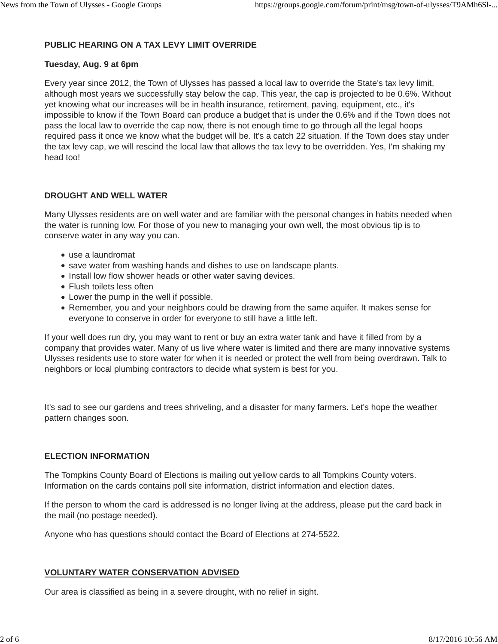## **PUBLIC HEARING ON A TAX LEVY LIMIT OVERRIDE**

#### **Tuesday, Aug. 9 at 6pm**

Every year since 2012, the Town of Ulysses has passed a local law to override the State's tax levy limit, although most years we successfully stay below the cap. This year, the cap is projected to be 0.6%. Without yet knowing what our increases will be in health insurance, retirement, paving, equipment, etc., it's impossible to know if the Town Board can produce a budget that is under the 0.6% and if the Town does not pass the local law to override the cap now, there is not enough time to go through all the legal hoops required pass it once we know what the budget will be. It's a catch 22 situation. If the Town does stay under the tax levy cap, we will rescind the local law that allows the tax levy to be overridden. Yes, I'm shaking my head too!

## **DROUGHT AND WELL WATER**

Many Ulysses residents are on well water and are familiar with the personal changes in habits needed when the water is running low. For those of you new to managing your own well, the most obvious tip is to conserve water in any way you can.

- use a laundromat
- save water from washing hands and dishes to use on landscape plants.
- Install low flow shower heads or other water saving devices.
- Flush toilets less often
- Lower the pump in the well if possible.
- Remember, you and your neighbors could be drawing from the same aquifer. It makes sense for everyone to conserve in order for everyone to still have a little left.

If your well does run dry, you may want to rent or buy an extra water tank and have it filled from by a company that provides water. Many of us live where water is limited and there are many innovative systems Ulysses residents use to store water for when it is needed or protect the well from being overdrawn. Talk to neighbors or local plumbing contractors to decide what system is best for you.

It's sad to see our gardens and trees shriveling, and a disaster for many farmers. Let's hope the weather pattern changes soon.

## **ELECTION INFORMATION**

The Tompkins County Board of Elections is mailing out yellow cards to all Tompkins County voters. Information on the cards contains poll site information, district information and election dates.

If the person to whom the card is addressed is no longer living at the address, please put the card back in the mail (no postage needed).

Anyone who has questions should contact the Board of Elections at 274-5522.

## **VOLUNTARY WATER CONSERVATION ADVISED**

Our area is classified as being in a severe drought, with no relief in sight.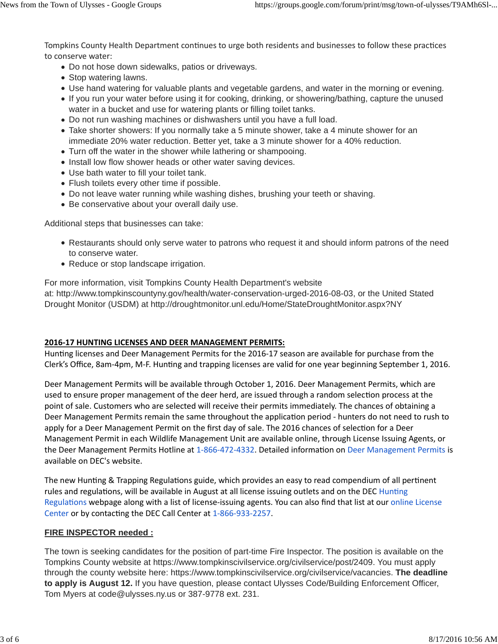Tompkins County Health Department continues to urge both residents and businesses to follow these practices to conserve water:

- Do not hose down sidewalks, patios or driveways.
- Stop watering lawns.
- Use hand watering for valuable plants and vegetable gardens, and water in the morning or evening.
- If you run your water before using it for cooking, drinking, or showering/bathing, capture the unused water in a bucket and use for watering plants or filling toilet tanks.
- Do not run washing machines or dishwashers until you have a full load.
- Take shorter showers: If you normally take a 5 minute shower, take a 4 minute shower for an immediate 20% water reduction. Better yet, take a 3 minute shower for a 40% reduction.
- Turn off the water in the shower while lathering or shampooing.
- Install low flow shower heads or other water saving devices.
- Use bath water to fill your toilet tank.
- Flush toilets every other time if possible.
- Do not leave water running while washing dishes, brushing your teeth or shaving.
- Be conservative about your overall daily use.

Additional steps that businesses can take:

- Restaurants should only serve water to patrons who request it and should inform patrons of the need to conserve water.
- Reduce or stop landscape irrigation.

For more information, visit Tompkins County Health Department's website

at: http://www.tompkinscountyny.gov/health/water-conservation-urged-2016-08-03, or the United Stated Drought Monitor (USDM) at http://droughtmonitor.unl.edu/Home/StateDroughtMonitor.aspx?NY

## **2016-17 HUNTING LICENSES AND DEER MANAGEMENT PERMITS:**

Hunting licenses and Deer Management Permits for the 2016-17 season are available for purchase from the Clerk's Office, 8am-4pm, M-F. Hunting and trapping licenses are valid for one year beginning September 1, 2016.

Deer Management Permits will be available through October 1, 2016. Deer Management Permits, which are used to ensure proper management of the deer herd, are issued through a random selection process at the point of sale. Customers who are selected will receive their permits immediately. The chances of obtaining a Deer Management Permits remain the same throughout the application period - hunters do not need to rush to apply for a Deer Management Permit on the first day of sale. The 2016 chances of selection for a Deer Management Permit in each Wildlife Management Unit are available online, through License Issuing Agents, or the Deer Management Permits Hotline at 1-866-472-4332. Detailed information on Deer Management Permits is available on DEC's website.

The new Hunting & Trapping Regulations guide, which provides an easy to read compendium of all pertinent rules and regulations, will be available in August at all license issuing outlets and on the DEC Hunting Regulations webpage along with a list of license-issuing agents. You can also find that list at our online License Center or by contacting the DEC Call Center at 1-866-933-2257.

## **FIRE INSPECTOR needed :**

The town is seeking candidates for the position of part-time Fire Inspector. The position is available on the Tompkins County website at https://www.tompkinscivilservice.org/civilservice/post/2409. You must apply through the county website here: https://www.tompkinscivilservice.org/civilservice/vacancies. **The deadline to apply is August 12.** If you have question, please contact Ulysses Code/Building Enforcement Officer, Tom Myers at code@ulysses.ny.us or 387-9778 ext. 231.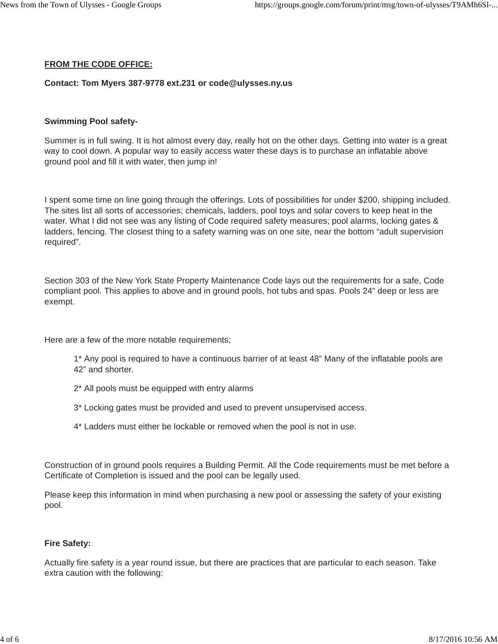#### **FROM THE CODE OFFICE:**

## **Contact: Tom Myers 387-9778 ext.231 or code@ulysses.ny.us**

# **Swimming Pool safety-**

Summer is in full swing. It is hot almost every day, really hot on the other days. Getting into water is a great way to cool down. A popular way to easily access water these days is to purchase an inflatable above ground pool and fill it with water, then jump in!

I spent some time on line going through the offerings. Lots of possibilities for under \$200, shipping included. The sites list all sorts of accessories; chemicals, ladders, pool toys and solar covers to keep heat in the water. What I did not see was any listing of Code required safety measures; pool alarms, locking gates & ladders, fencing. The closest thing to a safety warning was on one site, near the bottom "adult supervision required".

Section 303 of the New York State Property Maintenance Code lays out the requirements for a safe, Code compliant pool. This applies to above and in ground pools, hot tubs and spas. Pools 24" deep or less are exempt.

Here are a few of the more notable requirements;

- 1\* Any pool is required to have a continuous barrier of at least 48" Many of the inflatable pools are 42" and shorter.
- 2\* All pools must be equipped with entry alarms
- 3\* Locking gates must be provided and used to prevent unsupervised access.
- 4\* Ladders must either be lockable or removed when the pool is not in use.

Construction of in ground pools requires a Building Permit. All the Code requirements must be met before a Certificate of Completion is issued and the pool can be legally used.

Please keep this information in mind when purchasing a new pool or assessing the safety of your existing pool.

# **Fire Safety:**

Actually fire safety is a year round issue, but there are practices that are particular to each season. Take extra caution with the following: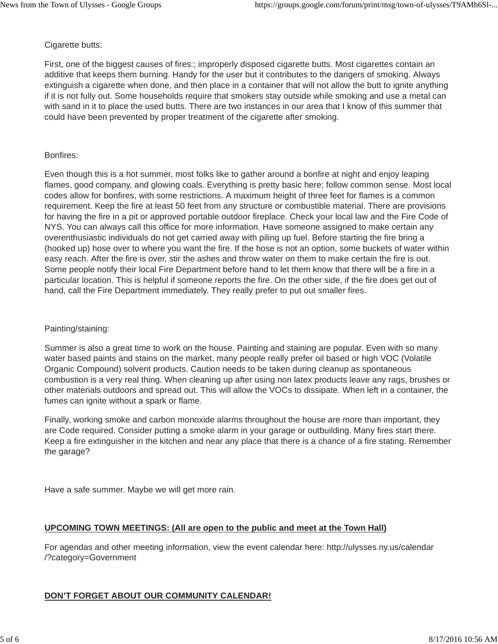#### Cigarette butts:

First, one of the biggest causes of fires:; improperly disposed cigarette butts. Most cigarettes contain an additive that keeps them burning. Handy for the user but it contributes to the dangers of smoking. Always extinguish a cigarette when done, and then place in a container that will not allow the butt to ignite anything if it is not fully out. Some households require that smokers stay outside while smoking and use a metal can with sand in it to place the used butts. There are two instances in our area that I know of this summer that could have been prevented by proper treatment of the cigarette after smoking.

#### Bonfires:

Even though this is a hot summer, most folks like to gather around a bonfire at night and enjoy leaping flames, good company, and glowing coals. Everything is pretty basic here; follow common sense. Most local codes allow for bonfires, with some restrictions. A maximum height of three feet for flames is a common requirement. Keep the fire at least 50 feet from any structure or combustible material. There are provisions for having the fire in a pit or approved portable outdoor fireplace. Check your local law and the Fire Code of NYS. You can always call this office for more information. Have someone assigned to make certain any overenthusiastic individuals do not get carried away with piling up fuel. Before starting the fire bring a (hooked up) hose over to where you want the fire. If the hose is not an option, some buckets of water within easy reach. After the fire is over, stir the ashes and throw water on them to make certain the fire is out. Some people notify their local Fire Department before hand to let them know that there will be a fire in a particular location. This is helpful if someone reports the fire. On the other side, if the fire does get out of hand, call the Fire Department immediately. They really prefer to put out smaller fires.

## Painting/staining:

Summer is also a great time to work on the house. Painting and staining are popular. Even with so many water based paints and stains on the market, many people really prefer oil based or high VOC (Volatile Organic Compound) solvent products. Caution needs to be taken during cleanup as spontaneous combustion is a very real thing. When cleaning up after using non latex products leave any rags, brushes or other materials outdoors and spread out. This will allow the VOCs to dissipate. When left in a container, the fumes can ignite without a spark or flame.

Finally, working smoke and carbon monoxide alarms throughout the house are more than important, they are Code required. Consider putting a smoke alarm in your garage or outbuilding. Many fires start there. Keep a fire extinguisher in the kitchen and near any place that there is a chance of a fire stating. Remember the garage?

Have a safe summer. Maybe we will get more rain.

## **UPCOMING TOWN MEETINGS: (All are open to the public and meet at the Town Hall)**

For agendas and other meeting information, view the event calendar here: http://ulysses.ny.us/calendar /?category=Government

## **DON'T FORGET ABOUT OUR COMMUNITY CALENDAR!**